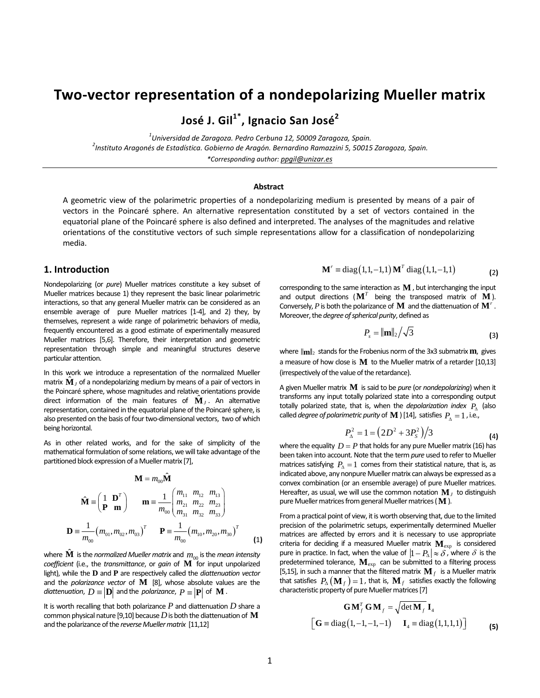# **Two‐vector representation of a nondepolarizing Mueller matrix**

**José J. Gil1\*, Ignacio San José<sup>2</sup>**

*1 Universidad de Zaragoza. Pedro Cerbuna 12, <sup>50009</sup> Zaragoza, Spain. <sup>2</sup> Instituto Aragonés de Estadística. Gobierno de Aragón. Bernardino Ramazzini 5, 50015 Zaragoza, Spain. \*Corresponding author: ppgil@unizar.es*

#### **Abstract**

A geometric view of the polarimetric properties of a nondepolarizing medium is presented by means of a pair of vectors in the Poincaré sphere. An alternative representation constituted by a set of vectors contained in the equatorial plane of the Poincaré sphere is also defined and interpreted. The analyses of the magnitudes and relative orientations of the constitutive vectors of such simple representations allow for a classification of nondepolarizing media.

# **1. Introduction**

Nondepolarizing (or *pure*) Mueller matrices constitute a key subset of Mueller matrices because 1) they represent the basic linear polarimetric interactions, so that any general Mueller matrix can be considered as an ensemble average of pure Mueller matrices [1-4], and 2) they, by themselves, represent a wide range of polarimetric behaviors of media, frequently encountered as a good estimate of experimentally measured Mueller matrices [5,6]. Therefore, their interpretation and geometric representation through simple and meaningful structures deserve particular attention.

In this work we introduce a representation of the normalized Mueller matrix  $\hat{\mathbf{M}}$ <sub>*I*</sub> of a nondepolarizing medium by means of a pair of vectors in the Poincaré sphere, whose magnitudes and relative orientations provide direct information of the main features of  $\hat{\mathbf{M}}_I$ . An alternative representation, contained in the equatorial plane of the Poincaré sphere, is also presented on the basis of four two-dimensional vectors, two of which being horizontal.

As in other related works, and for the sake of simplicity of the mathematical formulation of some relations, we will take advantage of the partitioned block expression of a Mueller matrix [7],

$$
\mathbf{M} = m_{00} \hat{\mathbf{M}}
$$
  

$$
\hat{\mathbf{M}} = \begin{pmatrix} 1 & \mathbf{D}^T \\ \mathbf{P} & \mathbf{m} \end{pmatrix} \qquad \mathbf{m} = \frac{1}{m_{00}} \begin{pmatrix} m_{11} & m_{12} & m_{13} \\ m_{21} & m_{22} & m_{23} \\ m_{31} & m_{32} & m_{33} \end{pmatrix}
$$
  

$$
\mathbf{D} = \frac{1}{m_{00}} (m_{01}, m_{02}, m_{03})^T \qquad \mathbf{P} = \frac{1}{m_{00}} (m_{10}, m_{20}, m_{30})^T \qquad (1)
$$

where  $\hat{\mathbf{M}}$  is the *normalized Mueller matrix* and  $m_{00}$  is the *mean intensity coefficient* (i.e., the *transmittance*, or *gain* of **M** for input unpolarized light), while the **D** and **P** are respectively called the *diattenuation vector* and the *polarizance vector* of **M** [8], whose absolute values are the *diattenuation,*  $D \equiv |\mathbf{D}|$  and the *polarizance*,  $P \equiv |\mathbf{P}|$  of **M**.

It is worth recalling that both polarizance *P* and diattenuation *D* share a common physical nature [9,10] because*D*is both the diattenuation of **M** and the polarizance of the *reverse Mueller matrix* [11,12]

$$
\mathbf{M}^r \equiv \text{diag}(1, 1, -1, 1) \mathbf{M}^T \text{ diag}(1, 1, -1, 1)
$$
 (2)

corresponding to the same interaction as **M** , but interchanging the input and output directions ( $M<sup>T</sup>$  being the transposed matrix of  $M$ ). Conversely,*P* is both the polarizance of **M** and the diattenuation of **M***<sup>r</sup>* . Moreover, the *degree* of *spherical purity*, defined as

$$
P_s = ||\mathbf{m}||_2 / \sqrt{3} \tag{3}
$$

where  $\|\mathbf{m}\|_2$  stands for the Frobenius norm of the 3x3 submatrix **m**, gives a measure of how close is **M** to the Mueller matrix of a retarder [10,13] (irrespectively of the value of the retardance).

A given Mueller matrix **M** issaid to be *pure* (or *nondepolarizing*) when it transforms any input totally polarized state into a corresponding output totally polarized state, that is, when the *depolarization index*  $P_\Lambda$  (also called *degree of polarimetric purity* of **M** ) [14], satisfies  $P_{\lambda} = 1$ , i.e.,

$$
P_{\Delta}^{2} = 1 = (2D^{2} + 3P_{S}^{2})/3
$$
 (4)

where the equality  $D = P$  that holds for any pure Mueller matrix (16) has been taken into account. Note that the term *pure* used to referto Mueller matrices satisfying  $P_\Delta = 1$  comes from their statistical nature, that is, as indicated above, any nonpure Mueller matrix can always be expressed as a convex combination (or an ensemble average) of pure Mueller matrices. Hereafter, as usual, we will use the common notation  $\mathbf{M}_I$  to distinguish pure Mueller matrices from general Mueller matrices (M).

From a practical point of view, it is worth observing that, due to the limited precision of the polarimetric setups, experimentally determined Mueller matrices are affected by errors and it is necessary to use appropriate criteria for deciding if a measured Mueller matrix  $\mathbf{M}_{\text{exp}}$  is considered pure in practice. In fact, when the value of  $|1 - P_\Delta| \approx \delta$ , where  $\delta$  is the predetermined tolerance, **M**exp can be submitted to a filtering process [5,15], in such a manner that the filtered matrix  $\mathbf{M}_f$  is a Mueller matrix that satisfies  $P_{\Delta}(\mathbf{M}_f) = 1$ , that is,  $\mathbf{M}_f$  satisfies exactly the following characteristic property of pure Mueller matrices [7]

$$
\mathbf{G}\mathbf{M}_{f}^{T}\mathbf{G}\mathbf{M}_{f} = \sqrt{\det \mathbf{M}_{f}}\mathbf{I}_{4}
$$

$$
\begin{bmatrix} \mathbf{G} \equiv \text{diag}\left(1, -1, -1, -1\right) & \mathbf{I}_{4} \equiv \text{diag}\left(1, 1, 1, 1\right) \end{bmatrix} \tag{5}
$$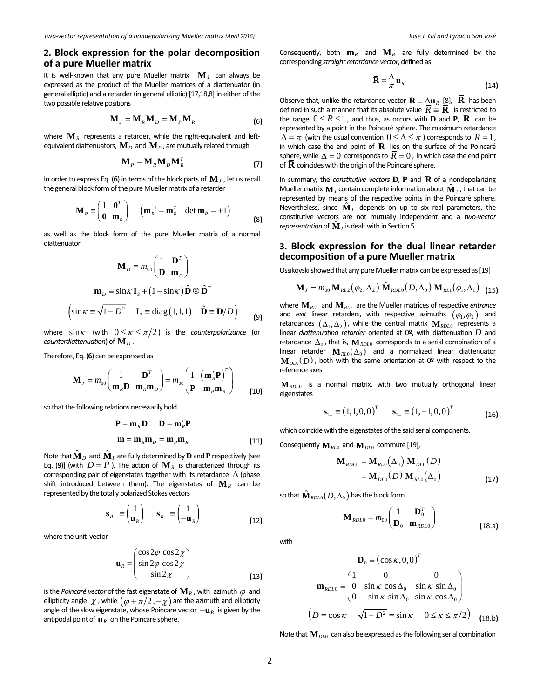# **2. Block expression for the polar decomposition of a pure Mueller matrix**

It is well-known that any pure Mueller matrix  $M_J$  can always be expressed as the product of the Mueller matrices of a diattenuator (in general elliptic) and a retarder (in general elliptic) [17,18,8] in either of the two possible relative positions

$$
\mathbf{M}_{J} = \mathbf{M}_{R} \mathbf{M}_{D} = \mathbf{M}_{P} \mathbf{M}_{R}
$$
 (6)

where  $\mathbf{M}_R$  represents a retarder, while the right-equivalent and leftequivalent diattenuators,  $\mathbf{M}_D$  and  $\mathbf{M}_P$ , are mutually related through

$$
\mathbf{M}_P = \mathbf{M}_R \mathbf{M}_D \mathbf{M}_R^T
$$
 (7)

In order to express Eq. (6) in terms of the block parts of  $\mathbf{M}_I$ , let us recall the general block form of the pure Mueller matrix of a retarder

$$
\mathbf{M}_{R} \equiv \begin{pmatrix} 1 & \mathbf{0}^{T} \\ \mathbf{0} & \mathbf{m}_{R} \end{pmatrix} \quad (\mathbf{m}_{R}^{-1} = \mathbf{m}_{R}^{T} \quad \det \mathbf{m}_{R} = +1)
$$
 (8)

as well as the block form of the pure Mueller matrix of a normal diattenuator

$$
\mathbf{M}_{D} \equiv m_{00} \begin{pmatrix} 1 & \mathbf{D}^{T} \\ \mathbf{D} & \mathbf{m}_{D} \end{pmatrix}
$$

$$
\mathbf{m}_{D} \equiv \sin \kappa \mathbf{I}_{3} + (1 - \sin \kappa) \hat{\mathbf{D}} \otimes \hat{\mathbf{D}}^{T}
$$

$$
\left(\sin \kappa \equiv \sqrt{1 - D^{2}} \quad \mathbf{I}_{3} \equiv \text{diag}(1, 1, 1) \quad \hat{\mathbf{D}} \equiv \mathbf{D}/D\right) \tag{9}
$$

where  $\sin \kappa$  (with  $0 \leq \kappa \leq \pi/2$ ) is the *counterpolarizance* (or *counterdiattenuation*) of  $\mathbf{M}_D$ .

Therefore, Eq.(**6**) can be expressed as

$$
\mathbf{M}_{J} = m_{00} \begin{pmatrix} 1 & \mathbf{D}^{T} \\ \mathbf{m}_{R} \mathbf{D} & \mathbf{m}_{R} \mathbf{m}_{D} \end{pmatrix} = m_{00} \begin{pmatrix} 1 & \left( \mathbf{m}_{R}^{T} \mathbf{P} \right)^{T} \\ \mathbf{P} & \mathbf{m}_{P} \mathbf{m}_{R} \end{pmatrix}
$$
 (10)

so that the following relations necessarily hold

$$
\mathbf{P} = \mathbf{m}_R \mathbf{D} \qquad \mathbf{D} = \mathbf{m}_R^T \mathbf{P}
$$

$$
\mathbf{m} = \mathbf{m}_R \mathbf{m}_D = \mathbf{m}_P \mathbf{m}_R
$$
(11)

Note that  $\hat{\mathbf{M}}_D$  and  $\hat{\mathbf{M}}_P$  are fully determined by **D** and **P** respectively [see Eq. (9)] (with  $D = P$ ). The action of  $M_R$  is characterized through its corresponding pair of eigenstates together with its retardance  $\Delta$  (phase shift introduced between them). The eigenstates of  $M_R$  can be represented by the totally polarized Stokes vectors

$$
\mathbf{s}_{R+} \equiv \begin{pmatrix} 1 \\ \mathbf{u}_R \end{pmatrix} \quad \mathbf{s}_{R-} \equiv \begin{pmatrix} 1 \\ -\mathbf{u}_R \end{pmatrix} \tag{12}
$$

where the unit vector

$$
\mathbf{u}_R = \begin{pmatrix} \cos 2\varphi & \cos 2\chi \\ \sin 2\varphi & \cos 2\chi \\ \sin 2\chi \end{pmatrix}
$$
 (13)

is the *Poincaré vector* of the fast eigenstate of  $\mathbf{M}_R$ , with azimuth  $\varphi$  and ellipticity angle  $\chi$  , while  $(\varphi + \pi/2, -\chi)$  are the azimuth and ellipticity angle of the slow eigenstate, whose Poincaré vector −**u***<sup>R</sup>* is given by the antipodal point of  $\mathbf{u}_R$  on the Poincaré sphere.

Consequently, both  $\mathbf{m}_R$  and  $\mathbf{M}_R$  are fully determined by the corresponding *straight retardance vector*, defined as

$$
\overline{\mathbf{R}} \equiv \frac{\Delta}{\pi} \mathbf{u}_R \tag{14}
$$

Observe that, unlike the retardance vector  $\mathbf{R} \equiv \Delta \mathbf{u}_{R}$  [8],  $\overline{\mathbf{R}}$  has been defined in such a manner that its absolute value  $\overline{R} \equiv |\overline{\mathbf{R}}|$  is restricted to the range  $0 \leq \overline{R} \leq 1$ , and thus, as occurs with **D** and **P**, **R** can be represented by a point in the Poincaré sphere. The maximum retardance  $\Delta = \pi$  (with the usual convention  $0 \leq \Delta \leq \pi$ ) corresponds to  $\overline{R} = 1$ , in which case the end point of  $\overline{R}$  lies on the surface of the Poincaré sphere, while  $\Delta = 0$  corresponds to  $\overline{R} = 0$ , in which case the end point of  $\overline{\mathbf{R}}$  coincides with the origin of the Poincaré sphere.

In summary, the *constitutive vectors* **D**, **P** and  $\overline{\mathbf{R}}$  of a nondepolarizing Mueller matrix  $\mathbf{M}_J$  contain complete information about  $\hat{\mathbf{M}}_J$ , that can be represented by means of the respective points in the Poincaré sphere. Nevertheless, since  $\hat{\mathbf{M}}_J$  depends on up to six real parameters, the constitutive vectors are not mutually independent and a *two‐vector representation* of  $\hat{\mathbf{M}}$ , is dealt with in Section 5.

# **3. Block expression for the dual linear retarder decomposition of <sup>a</sup> pure Mueller matrix**

Ossikovski showed that any pure Mueller matrix can be expressed as [19]

$$
\mathbf{M}_{J} = m_{00} \, \mathbf{M}_{RL2}(\varphi_2, \Delta_2) \, \hat{\mathbf{M}}_{RDL0}(D, \Delta_0) \, \mathbf{M}_{RL1}(\varphi_1, \Delta_1) \tag{15}
$$

where **M***RL*<sup>1</sup> and **M***RL*<sup>2</sup> are the Mueller matrices of respective *entrance* and *exit* linear retarders, with respective azimuths  $(\varphi_1, \varphi_2)$  and retardances  $(\Delta_1, \Delta_2)$ , while the central matrix  $\mathbf{M}_{RDLO}$  represents a linear *diattenuating retarder* oriented at 0º, with diattenuation *D* and retardance  $\Delta_0$ , that is,  $\mathbf{M}_{\text{RDLO}}$  corresponds to a serial combination of a linear retarder  $\mathbf{M}_{RL0}(\Delta_0)$  and a normalized linear diattenuator  $\mathbf{M}_{DLO}(D)$ , both with the same orientation at 0<sup>o</sup> with respect to the reference axes

**M***RDL*<sup>0</sup> is a normal matrix, with two mutually orthogonal linear eigenstates

$$
\mathbf{s}_{1+} \equiv (1,1,0,0)^T \qquad \mathbf{s}_{1-} \equiv (1,-1,0,0)^T \tag{16}
$$

which coincide with the eigenstates of the said serial components.

Consequently **M***RL*<sup>0</sup> and **M***DL*<sup>0</sup> commute [19],

$$
\mathbf{M}_{RDL0} = \mathbf{M}_{RLO}(\Delta_0) \mathbf{M}_{DL0}(D)
$$
  
=  $\mathbf{M}_{DL0}(D) \mathbf{M}_{RLO}(\Delta_0)$  (17)

so that  $\hat{\mathbf{M}}_{RDL0}(D,\Delta_0)$  has the block form

$$
\mathbf{M}_{RDL0} = m_{00} \begin{pmatrix} 1 & \mathbf{D}_0^T \\ \mathbf{D}_0 & \mathbf{m}_{RDL0} \end{pmatrix}
$$
 (18.a)

with

$$
\mathbf{D}_0 = (\cos \kappa, 0, 0)^T
$$

$$
\mathbf{m}_{RDLO} = \begin{pmatrix} 1 & 0 & 0 \\ 0 & \sin \kappa \cos \Delta_0 & \sin \kappa \sin \Delta_0 \\ 0 & -\sin \kappa \sin \Delta_0 & \sin \kappa \cos \Delta_0 \end{pmatrix}
$$

$$
(D = \cos \kappa \quad \sqrt{1 - D^2} = \sin \kappa \quad 0 \le \kappa \le \pi/2) \quad (18.5)
$$

Note that  $\mathbf{M}_{\text{DL0}}$  can also be expressed as the following serial combination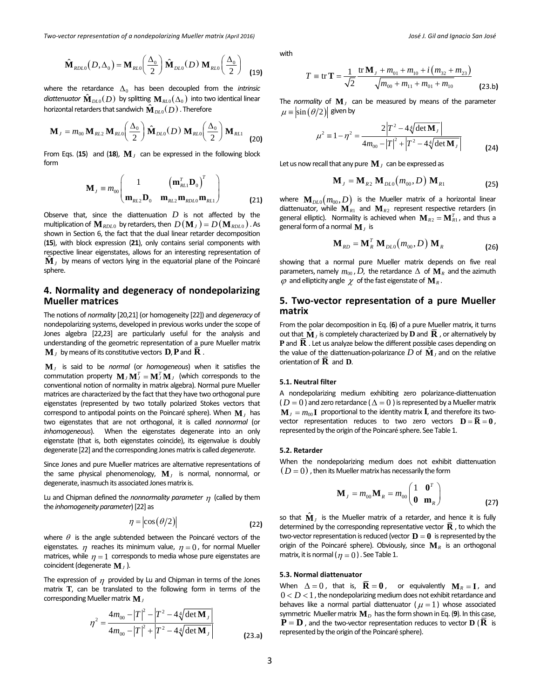Two-vector representation of a nondepolarizing Mueller matrix (April 2016) The Controller and Muslim Conservation of a nondepolarizing Mueller matrix (April 2016) The Conservation of a matrix (April 2016) The Conservation

$$
\hat{\mathbf{M}}_{RDL0}(D,\Delta_0) = \mathbf{M}_{RLO}\left(\frac{\Delta_0}{2}\right)\hat{\mathbf{M}}_{DL0}(D)\mathbf{M}_{RLO}\left(\frac{\Delta_0}{2}\right) \tag{19}
$$

where the retardance  $\Delta_0$  has been decoupled from the *intrinsic diattenuator*  $\hat{\mathbf{M}}_{DL0}(D)$  by splitting  $\mathbf{M}_{RL0}(\Delta_0)$  into two identical linear horizontal retarders that sandwich  $\hat{\mathbf{M}}_{DL0}( D )$  . Therefore

$$
\mathbf{M}_{J} = m_{00} \, \mathbf{M}_{RL2} \, \mathbf{M}_{RL0} \bigg( \frac{\Delta_{0}}{2} \bigg) \, \hat{\mathbf{M}}_{DL0} (D) \, \mathbf{M}_{RL0} \bigg( \frac{\Delta_{0}}{2} \bigg) \, \mathbf{M}_{RL1} \tag{20}
$$

From Eqs. (15) and (18),  $\mathbf{M}_I$  can be expressed in the following block form

$$
\mathbf{M}_{J} \equiv m_{00} \begin{pmatrix} 1 & \left( \mathbf{m}_{RL1}^{T} \mathbf{D}_{0} \right)^{T} \\ \mathbf{m}_{RL2} \mathbf{D}_{0} & \mathbf{m}_{RL2} \mathbf{m}_{RDLO} \mathbf{m}_{RL1} \end{pmatrix}
$$
(21)

Observe that, since the diattenuation  $D$  is not affected by the multiplication of  $\mathbf{M}_{RDLO}$  by retarders, then  $D(\mathbf{M}_{I}) = D(\mathbf{M}_{RDLO})$ . As shown in Section 6, the fact that the dual linear retarder decomposition (**15**), with block expression (**21**), only contains serial components with  $\hat{\mathbf{M}}$ <sub>*J*</sub> by means of vectors lying in the equatorial plane of the Poincaré sphere.

# **4. Normality and degeneracy of nondepolarizing Mueller matrices**

The notions of *normality* [20,21] (or homogeneity [22]) and *degeneracy* of nondepolarizing systems, developed in previous works under the scope of Jones algebra [22,23] are particularly useful for the analysis and understanding of the geometric representation of a pure Mueller matrix  $\mathbf{M}_J$  by means of its constitutive vectors  $\mathbf{D}, \mathbf{P}$  and  $\mathbf{R}$ .

**M***<sup>J</sup>* is said to be *normal* (or *homogeneous*) when it satisfies the commutation property  $\mathbf{M}_{I} \mathbf{M}_{I}^{T} = \mathbf{M}_{I}^{T} \mathbf{M}_{I}$  (which corresponds to the conventional notion of normality in matrix algebra). Normal pure Mueller matrices are characterized by the fact that they have two orthogonal pure eigenstates (represented by two totally polarized Stokes vectors that correspond to antipodal points on the Poincaré sphere). When **M***<sup>J</sup>* has two eigenstates that are not orthogonal, it is called *nonnormal* (or *inhomogeneous*). When the eigenstates degenerate into an only eigenstate (that is, both eigenstates coincide), its eigenvalue is doubly degenerate [22] and the corresponding Jonesmatrix is called *degenerate*.

Since Jones and pure Mueller matrices are alternative representations of the same physical phenomenology,  $M<sub>J</sub>$  is normal, nonnormal, or degenerate, inasmuch its associated Jones matrix is.

Lu and Chipman defined the *nonnormality parameter* <sup>η</sup> (called by them the *inhomogeneity parameter*)[22] as

$$
\eta = \left| \cos \left( \frac{\theta}{2} \right) \right| \tag{22}
$$

where  $\theta$  is the angle subtended between the Poincaré vectors of the eigenstates.  $\eta$  reaches its minimum value,  $\eta = 0$ , for normal Mueller matrices, while  $\eta = 1$  corresponds to media whose pure eigenstates are coincident(degenerate **M***<sup>J</sup>* ).

The expression of  $\eta$  provided by Lu and Chipman in terms of the Jones matrix **T**, can be translated to the following form in terms of the corresponding Mueller matrix **M**<sub>*I*</sub>

$$
\eta^{2} = \frac{4m_{00} - |T|^{2} - |T^{2} - 4\sqrt[4]{\det \mathbf{M}_{J}}}{4m_{00} - |T|^{2} + |T^{2} - 4\sqrt[4]{\det \mathbf{M}_{J}}}
$$
\n(23. a)

with

$$
T = \text{tr}\,\mathbf{T} = \frac{1}{\sqrt{2}} \frac{\text{tr}\,\mathbf{M}_{J} + m_{01} + m_{10} + i\left(m_{32} + m_{23}\right)}{\sqrt{m_{00} + m_{11} + m_{01} + m_{10}}}
$$
 (23.b)

The *normality* of  $M$ <sup>*J*</sup> can be measured by means of the parameter  $\mu = |\sin (\theta/2)|$  given by

$$
\mu^{2} \equiv 1 - \eta^{2} = \frac{2|T^{2} - 4\sqrt[4]{\det M_{J}}|}{4m_{00} - |T|^{2} + |T^{2} - 4\sqrt[4]{\det M_{J}}|}
$$
(24)

Let us now recall that any pure  $\mathbf{M}_J$  can be expressed as

$$
\mathbf{M}_{J} = \mathbf{M}_{R2} \, \mathbf{M}_{DLO}(m_{00}, D) \, \mathbf{M}_{R1} \tag{25}
$$

where  $\mathbf{M}_{DL0}(m_{00}, D)$  is the Mueller matrix of a horizontal linear diattenuator, while  $\mathbf{M}_{R1}$  and  $\mathbf{M}_{R2}$  represent respective retarders (in general elliptic). Normality is achieved when  $\mathbf{M}_{R2} = \mathbf{M}_{R1}^T$ , and thus a general form of a normal  $\mathbf{M}_I$  is

$$
\mathbf{M}_{RD} = \mathbf{M}_{R}^{T} \mathbf{M}_{DLO}(m_{00}, D) \mathbf{M}_{R}
$$
 (26)

showing that a normal pure Mueller matrix depends on five real parameters, namely  $m_{00}$ , D, the retardance  $\Delta$  of  $\mathbf{M}_R$  and the azimuth  $\varphi$  and ellipticity angle  $\chi$  of the fast eigenstate of  $\mathbf{M}_R$ .

# **5. Two‐vector representation of a pure Mueller matrix**

From the polar decomposition in Eq. (**6**) of a pure Mueller matrix, it turns out that  $\hat{\mathbf{M}}_I$  is completely characterized by **D** and **R** , or alternatively by **P** and **R** . Let us analyze below the different possible cases depending on the value of the diattenuation-polarizance  $D$  of  $\hat{\mathbf{M}}_l$  and on the relative orientation of **R** and **D**.

# **5.1. Neutral filter**

A nondepolarizing medium exhibiting zero polarizance‐diattenuation  $(D = 0)$  and zero retardance  $(\Delta = 0)$  is represented by a Mueller matrix  $\mathbf{M}_{I} = m_{00} \mathbf{I}$  proportional to the identity matrix **I**, and therefore its twovector representation reduces to two zero vectors  $D = \overline{R} = 0$ , represented by the origin of the Poincaré sphere. See Table 1.

#### **5.2. Retarder**

When the nondepolarizing medium does not exhibit diattenuation  $(D = 0)$ , then its Mueller matrix has necessarily the form

$$
\mathbf{M}_{J} = m_{00} \mathbf{M}_{R} = m_{00} \begin{pmatrix} 1 & \mathbf{0}^{T} \\ \mathbf{0} & \mathbf{m}_{R} \end{pmatrix}
$$
 (27)

so that  $\hat{\mathbf{M}}_I$  is the Mueller matrix of a retarder, and hence it is fully determined by the corresponding representative vector  $\mathbf{R}$ , to which the two-vector representation is reduced (vector  $\mathbf{D} = \mathbf{0}$  is represented by the origin of the Poincaré sphere). Obviously, since **M***<sup>R</sup>* is an orthogonal matrix, it is normal ( $\eta = 0$ ). See Table 1.

#### **5.3. Normal diattenuator**

When  $\Delta = 0$ , that is,  $\overline{\mathbf{R}} = \mathbf{0}$ , or equivalently  $\mathbf{M}_R = \mathbf{I}$ , and  $0 < D < 1$ , the nondepolarizing medium does not exhibit retardance and behaves like a normal partial diattenuator ( $\mu = 1$ ) whose associated symmetric Mueller matrix  $M_D$  has the form shown in Eq. (9). In this case,  $P = D$ , and the two-vector representation reduces to vector  $D (R)$  is represented by the origin of the Poincaré sphere).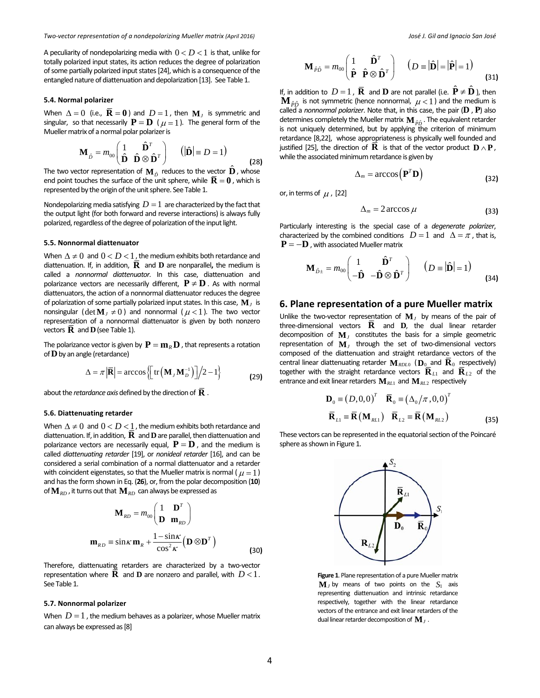A peculiarity of nondepolarizing media with  $0 < D < 1$  is that, unlike for totally polarized input states, its action reduces the degree of polarization of some partially polarized input states [24], which is a consequence of the entangled nature of diattenuation and depolarization [13]. See Table 1.

#### **5.4. Normal polarizer**

When  $\Delta = 0$  (i.e.,  $\mathbf{R} = 0$ ) and  $D = 1$ , then  $\mathbf{M}_I$  is symmetric and singular, so that necessarily  $P = D$  ( $\mu = 1$ ). The general form of the Mueller matrix of a normal polar polarizer is

$$
\mathbf{M}_{\hat{D}} = m_{00} \begin{pmatrix} 1 & \hat{\mathbf{D}}^T \\ \hat{\mathbf{D}} & \hat{\mathbf{D}} \otimes \hat{\mathbf{D}}^T \end{pmatrix} \qquad (\vert \hat{\mathbf{D}} \vert \equiv D = 1) \tag{28}
$$

The two vector representation of  $\mathbf{M}_{\hat{D}}$ <sup>reduces</sup> to the vector  $\hat{\mathbf{D}}$ <sup>*,*</sup> , whose end point touches the surface of the unit sphere, while  $\overline{\mathbf{R}} = 0$ , which is represented by the origin of the unit sphere. See Table 1.

Nondepolarizing media satisfying  $D = 1$  are characterized by the fact that the output light (for both forward and reverse interactions) is always fully polarized, regardless of the degree of polarization of the input light.

#### **5.5. Nonnormal diattenuator**

When  $\Delta \neq 0$  and  $0 < D < 1$ , the medium exhibits both retardance and diattenuation. If, in addition,  $\bf{R}$  and  $\bf{D}$  are nonparallel, the medium is called a *nonnormal diattenuator.* In this case, diattenuation and polarizance vectors are necessarily different,  $P \neq D$ . As with normal diattenuators, the action of a nonnormal diattenuator reduces the degree of polarization of some partially polarized input states. In this case,  $\mathbf{M}_I$  is nonsingular (det  $\mathbf{M}_I \neq 0$ ) and nonnormal ( $\mu$  < 1). The two vector representation of a nonnormal diattenuator is given by both nonzero vectors  $\bf{R}$  and  $\bf{D}$  (see Table 1).

The polarizance vector is given by  $P = m_R D$  , that represents a rotation of**D**by an angle (retardance)

$$
\Delta = \pi \left| \overline{\mathbf{R}} \right| = \arccos \left\{ \left[ \text{tr} \left( \mathbf{M}_J \mathbf{M}_D^{-1} \right) \right] \middle/ 2 - 1 \right\}
$$
 (29)

about the *retardance axis* defined by the direction of  $\overline{R}$ .

#### **5.6. Diattenuating retarder**

When  $\Delta \neq 0$  and  $0 < D < 1$ , the medium exhibits both retardance and diattenuation. If, in addition,  $\overline{R}$  and **D** are parallel, then diattenuation and polarizance vectors are necessarily equal,  $P = D$ , and the medium is called *diattenuating retarder* [19], or *nonideal retarder* [16], and can be considered a serial combination of a normal diattenuator and a retarder with coincident eigenstates, so that the Mueller matrix is normal ( $\mu = 1$ ) and hasthe form shown in Eq. (**26**), or, from the polar decomposition (**10**) of  $\mathbf{M}_{RD}$  , it turns out that  $\mathbf{M}_{RD}$  can always be expressed as

$$
\mathbf{M}_{RD} = m_{00} \begin{pmatrix} 1 & \mathbf{D}^T \\ \mathbf{D} & \mathbf{m}_{RD} \end{pmatrix}
$$

$$
\mathbf{m}_{RD} \equiv \sin \kappa \mathbf{m}_R + \frac{1 - \sin \kappa}{\cos^2 \kappa} \left( \mathbf{D} \otimes \mathbf{D}^T \right)
$$
(30)

Therefore, diattenuating retarders are characterized by a two-vector representation where **R** and **D** are nonzero and parallel, with  $D < 1$ . See Table 1.

#### **5.7. Nonnormal polarizer**

When  $D = 1$ , the medium behaves as a polarizer, whose Mueller matrix can always be expressed as[8]

$$
\mathbf{M}_{\hat{P}\hat{D}} = m_{00} \begin{pmatrix} 1 & \hat{\mathbf{D}}^T \\ \hat{\mathbf{P}} & \hat{\mathbf{P}} \otimes \hat{\mathbf{D}}^T \end{pmatrix} \quad (D = |\hat{\mathbf{D}}| = |\hat{\mathbf{P}}| = 1)
$$
(31)

If, in addition to  $D = 1$ ,  $\overline{\mathbf{R}}$  and  $\mathbf{D}$  are not parallel (i.e.  $\hat{\mathbf{P}} \neq \hat{\mathbf{D}}$ ), then  $\mathbf{M}_{\hat{p}\hat{p}}$  is not symmetric (hence nonnormal,  $\mu$  < 1) and the medium is called a *nonnormal polarizer*. Note that, in this case, the pair (**D** , **P**) also determines completely the Mueller matrix  $\mathbf{M}_{\hat{p}\hat{p}}$  . The equivalent retarder is not uniquely determined, but by applying the criterion of minimum retardance [8,22], whose appropriateness is physically well founded and justified [25], the direction of  $\overline{\mathbf{R}}$  is that of the vector product  $\mathbf{D} \wedge \mathbf{P}$ , while the associated minimum retardance is given by

$$
\Delta_m = \arccos\left(\mathbf{P}^T \mathbf{D}\right) \tag{32}
$$

or, in terms of  $\mu$ , [22]

$$
\Delta_m = 2 \arccos \mu \tag{33}
$$

Particularly interesting is the special case of a *degenerate polarizer*, characterized by the combined conditions  $D=1$  and  $\Delta = \pi$ , that is,  ${\bf P} = -{\bf D}$  , with associated Mueller matrix

$$
\mathbf{M}_{\hat{D}\pm} = m_{00} \begin{pmatrix} 1 & \hat{\mathbf{D}}^T \\ -\hat{\mathbf{D}} & -\hat{\mathbf{D}} \otimes \hat{\mathbf{D}}^T \end{pmatrix} \qquad (D \equiv |\hat{\mathbf{D}}| = 1)
$$
 (34)

# **6. Plane representation of a pure Mueller matrix**

Unlike the two-vector representation of  $M<sub>J</sub>$  by means of the pair of three-dimensional vectors  $\overline{\mathbf{R}}$  and  $\mathbf{D}$ , the dual linear retarder decomposition of **M***<sup>J</sup>* constitutes the basis for a simple geometric representation of  $M_J$  through the set of two-dimensional vectors composed of the diattenuation and straight retardance vectors of the central linear diattenuating retarder  $\mathbf{M}_{RDLO}$  ( $\mathbf{D}_0$  and  $\mathbf{R}_0$  respectively) together with the straight retardance vectors  $\overline{\mathbf{R}}_{L1}$  and  $\overline{\mathbf{R}}_{L2}$  of the entrance and exit linear retarders  $\mathbf{M}_{RL1}$  and  $\mathbf{M}_{RL2}$  respectively

$$
\mathbf{D}_0 = (D, 0, 0)^T \quad \overline{\mathbf{R}}_0 = (\Delta_0 / \pi, 0, 0)^T
$$

$$
\overline{\mathbf{R}}_{L1} = \overline{\mathbf{R}} (\mathbf{M}_{RL1}) \quad \overline{\mathbf{R}}_{L2} = \overline{\mathbf{R}} (\mathbf{M}_{RL2})
$$
(35)

These vectors can be represented in the equatorial section of the Poincaré sphere as shown in Figure 1.



Figure 1. Plane representation of a pure Mueller matrix  $M$ <sub>*J*</sub> by means of two points on the  $S_1$  axis representing diattenuation and intrinsic retardance respectively, together with the linear retardance vectors of the entrance and exit linear retarders of the dual linear retarder decomposition of  $\mathbf{M}_J$ .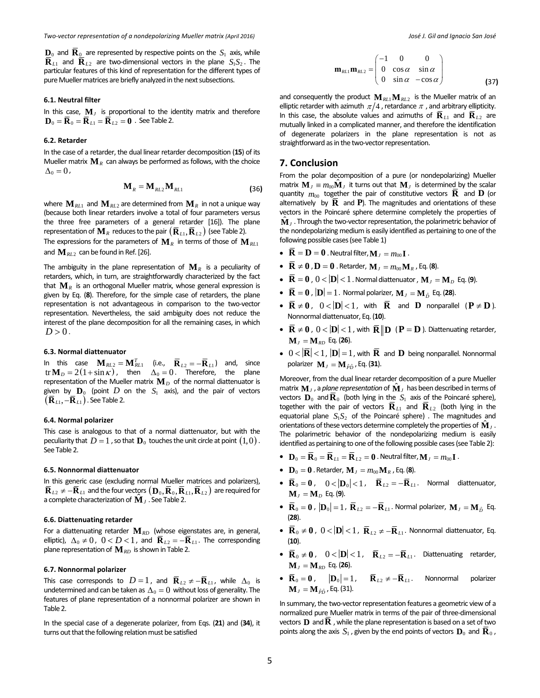$\mathbf{D}_0$  and  $\mathbf{R}_0$  are represented by respective points on the  $S_1$  axis, while  $\overline{\mathbf{R}}_{L1}$  and  $\overline{\mathbf{R}}_{L2}$  are two-dimensional vectors in the plane  $S_1S_2$ . The particular features of this kind of representation for the different types of pure Mueller matrices are briefly analyzed in the next subsections.

#### **6.1. Neutral filter**

In this case,  $M_J$  is proportional to the identity matrix and therefore  $\mathbf{D}_0 = \overline{\mathbf{R}}_0 = \overline{\mathbf{R}}_{L1} = \overline{\mathbf{R}}_{L2} = \mathbf{0}$ . See Table 2.

# **6.2. Retarder**

In the case of a retarder, the dual linear retarder decomposition (**15**) of its Mueller matrix  $M_R$  can always be performed as follows, with the choice  $\Delta_0 = 0$ ,

$$
\mathbf{M}_R = \mathbf{M}_{RL2} \mathbf{M}_{RL1} \tag{36}
$$

where  $\mathbf{M}_{RL1}$  and  $\mathbf{M}_{RL2}$  are determined from  $\mathbf{M}_R$  in not a unique way (because both linear retarders involve a total of four parameters versus the three free parameters of a general retarder [16]). The plane representation of  $\mathbf{M}_R$  reduces to the pair  $(\overline{\mathbf{R}}_{L1}, \overline{\mathbf{R}}_{L2})$  (see Table 2). The expressions for the parameters of  $\mathbf{M}_R$  in terms of those of  $\mathbf{M}_{RL1}$ 

and  $M_{RL2}$  can be found in Ref. [26].

The ambiguity in the plane representation of  $M_R$  is a peculiarity of retarders, which, in turn, are straightforwardly characterized by the fact that  $\mathbf{M}_R$  is an orthogonal Mueller matrix, whose general expression is given by Eq. (**8**). Therefore, for the simple case of retarders, the plane representation is not advantageous in comparison to the two‐vector representation. Nevertheless, the said ambiguity does not reduce the interest of the plane decomposition for all the remaining cases, in which  $D > 0$ .

#### **6.3. Normal diattenuator**

In this case  $\mathbf{M}_{RL2} = \mathbf{M}_{RL1}^T$  (i.e.,  $\overline{\mathbf{R}}_{L2} = -\overline{\mathbf{R}}_{L1}$ ) and, since  $tr \mathbf{M}_D = 2(1 + \sin \kappa)$ , then  $\Delta_0 = 0$ . Therefore, the plane representation of the Mueller matrix  $M_D$  of the normal diattenuator is given by  $\mathbf{D}_0$  (point D on the  $S_1$  axis), and the pair of vectors  $(\overline{\mathbf{R}}_{L1}, -\overline{\mathbf{R}}_{L1})$ . See Table 2.

# **6.4. Normal polarizer**

This case is analogous to that of a normal diattenuator, but with the peculiarity that  $D = 1$ , so that  $\mathbf{D}_0$  touches the unit circle at point  $(1,0)$ . See Table 2.

#### **6.5. Nonnormal diattenuator**

In this generic case (excluding normal Mueller matrices and polarizers),  $\bar{\mathbf{R}}_{L2} \neq -\bar{\mathbf{R}}_{L1}$  and the four vectors  $(\mathbf{D}_0, \bar{\mathbf{R}}_0, \bar{\mathbf{R}}_{L1}, \bar{\mathbf{R}}_{L2})$  are required for a complete characterization of  $M_J$ . See Table 2.

#### **6.6. Diattenuating retarder**

For a diattenuating retarder **M***RD* (whose eigenstates are, in general, elliptic),  $\Delta_0 \neq 0$ ,  $0 < D < 1$ , and  $\overline{\mathbf{R}}_{L2} = -\overline{\mathbf{R}}_{L1}$ . The corresponding plane representation of  $M_{RD}$  is shown in Table 2.

#### **6.7. Nonnormal polarizer**

This case corresponds to  $D = 1$ , and  $\overline{\mathbf{R}}_{L2} \neq -\overline{\mathbf{R}}_{L1}$ , while  $\Delta_0$  is undetermined and can be taken as  $\Delta_0 = 0$  without loss of generality. The features of plane representation of a nonnormal polarizer are shown in Table 2.

In the special case of a degenerate polarizer, from Eqs. (**21**) and (**34**), it turns out that the following relation must be satisfied

$$
\mathbf{m}_{RL1}\mathbf{m}_{RL2} = \begin{pmatrix} -1 & 0 & 0 \\ 0 & \cos\alpha & \sin\alpha \\ 0 & \sin\alpha & -\cos\alpha \end{pmatrix}
$$
 (37)

and consequently the product  $\mathbf{M}_{RL} \mathbf{M}_{RL}$  is the Mueller matrix of an elliptic retarder with azimuth  $\pi/4$  , retardance  $\pi$  , and arbitrary ellipticity. In this case, the absolute values and azimuths of  $\overline{\mathbf{R}}_{L1}$  and  $\overline{\mathbf{R}}_{L2}$  are mutually linked in a complicated manner, and therefore the identification of degenerate polarizers in the plane representation is not as straightforward as in the two-vector representation.

# **7. Conclusion**

From the polar decomposition of a pure (or nondepolarizing) Mueller matrix  $\mathbf{M}_J \equiv m_{00} \hat{\mathbf{M}}_J$  it turns out that  $\mathbf{M}_J$  is determined by the scalar quantity  $m_{00}$  together the pair of constitutive vectors  $\overline{\mathbf{R}}$  and  $\mathbf{D}$  (or alternatively by  $\overline{R}$  and  $P$ ). The magnitudes and orientations of these vectors in the Poincaré sphere determine completely the properties of  $\hat{\mathbf{M}}$ <sub>i</sub>. Through the two-vector representation, the polarimetric behavior of the nondepolarizing medium is easily identified as pertaining to one of the following possible cases(see Table 1)

- $\bar{\mathbf{R}} = \mathbf{D} = \mathbf{0}$ . Neutral filter,  $\mathbf{M}_I = m_{00} \mathbf{I}$ .
- $\bar{\mathbf{R}} \neq 0$  ,  $\mathbf{D} = 0$  . Retarder,  $\mathbf{M}_{J} = m_{00} \mathbf{M}_{R}$  , Eq. (8).
- $\overline{\mathbf{R}} = \mathbf{0}$ ,  $0 < |\mathbf{D}| < 1$  . Normal diattenuator ,  $\mathbf{M}_I = \mathbf{M}_D$  Eq. (9).
- $\overline{\mathbf{R}} = \mathbf{0}$ ,  $|\mathbf{D}| = 1$ . Normal polarizer,  $\mathbf{M}_I = \mathbf{M}_{\hat{D}}$  Eq. (28).
- $\overline{R} \neq 0$ ,  $0 < |D| < 1$ , with  $\overline{R}$  and **D** nonparallel ( $P \neq D$ ). Nonnormal diattenuator, Eq.(**10**).
- $\bar{\mathbf{R}} \neq 0$ ,  $0 < |\mathbf{D}| < 1$ , with  $\bar{\mathbf{R}} || \mathbf{D} | (\mathbf{P} = \mathbf{D})$ . Diattenuating retarder,  $M_{I} = M_{RD}$  Eq. (26).
- $0 < |\overline{R}| < 1$ ,  $|D| = 1$ , with  $\overline{R}$  and  $D$  being nonparallel. Nonnormal polarizer  $\mathbf{M}_I = \mathbf{M}_{\hat{P}\hat{D}}$ , Eq. (31).

Moreover, from the dual linear retarder decomposition of a pure Mueller matrix  $\mathbf{M}_J$ , a plane representation of  $\hat{\mathbf{M}}_J$  has been described in terms of vectors  $\mathbf{D}_0$  and  $\mathbf{R}_0$  (both lying in the  $S_1$  axis of the Poincaré sphere), together with the pair of vectors  $\mathbf{R}_{L1}$  and  $\mathbf{R}_{L2}$  (both lying in the equatorial plane  $S_1 S_2$  of the Poincaré sphere). The magnitudes and orientations of these vectors determine completely the properties of  $\hat{\mathbf{M}}_J$ . The polarimetric behavior of the nondepolarizing medium is easily identified as pertaining to one of the following possible cases (see Table 2):

- $\mathbf{D}_0 = \overline{\mathbf{R}}_0 = \overline{\mathbf{R}}_{L1} = \overline{\mathbf{R}}_{L2} = \mathbf{0}$ . Neutral filter,  $\mathbf{M}_I = m_{00} \mathbf{I}$ .
- ${\bf D}_0 = {\bf 0}$ . Retarder,  ${\bf M}_I = m_{00} {\bf M}_R$ , Eq. (8).
- $\overline{\mathbf{R}}_0 = \mathbf{0}$ ,  $0 < |\mathbf{D}_0| < 1$ ,  $\overline{\mathbf{R}}_{L2} = -\overline{\mathbf{R}}_{L1}$ . Normal diattenuator,  $M_J = M_D$  Eq. (9).
- $\overline{\mathbf{R}}_0 = \mathbf{0}$ ,  $|\mathbf{D}_0| = 1$ ,  $\overline{\mathbf{R}}_{L2} = -\overline{\mathbf{R}}_{L1}$ . Normal polarizer,  $\mathbf{M}_I = \mathbf{M}_{\hat{D}}$  Eq. (**28**).
- $\bar{\mathbf{R}}_0 \neq \mathbf{0}$ ,  $0 < |\mathbf{D}| < 1$ ,  $\bar{\mathbf{R}}_{L2} \neq -\bar{\mathbf{R}}_{L1}$ . Nonnormal diattenuator, Eq. (**10**).
- $\overline{\mathbf{R}}_0 \neq \mathbf{0}$ ,  $0 < |\mathbf{D}| < 1$ ,  $\overline{\mathbf{R}}_{L2} = -\overline{\mathbf{R}}_{L1}$ . Diattenuating retarder,  $M_{I} = M_{RD}$  Eq. (26).
- $\overline{\mathbf{R}}_0 = \mathbf{0}$ ,  $|\mathbf{D}_0| = 1$ ,  $\overline{\mathbf{R}}_{L2} \neq -\overline{\mathbf{R}}_{L1}$ . Nonnormal polarizer  $M_J = M_{\hat{P}\hat{D}}$ , Eq. (31).

In summary, the two-vector representation features a geometric view of a normalized pure Mueller matrix in terms of the pair of three‐dimensional vectors **D** and  $\overline{\mathbf{R}}$ , while the plane representation is based on a set of two points along the axis  $S_1$ , given by the end points of vectors  $\mathbf{D}_0$  and  $\overline{\mathbf{R}}_0$ ,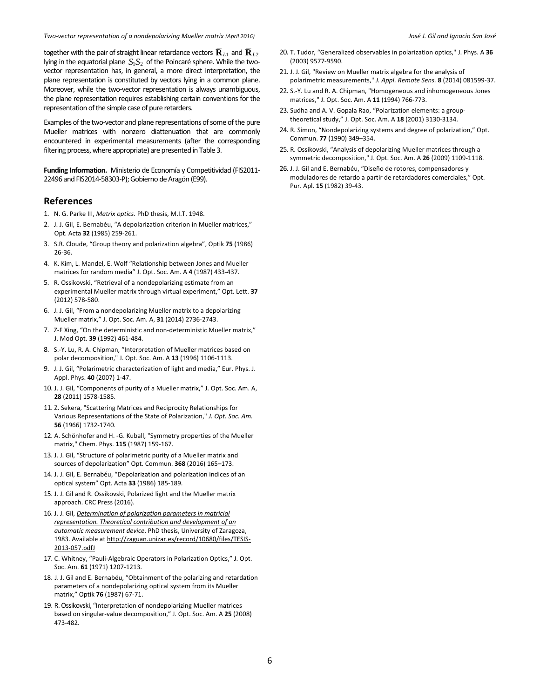Two-vector representation of a nondepolarizing Mueller matrix (April 2016) The Control of a state of the Unit of the Unit of the Unit of the Unit of the Unit of the Unit of the Unit of the Unit of the Unit of the Unit of t

together with the pair of straight linear retardance vectors  $\overline{\mathbf{R}}_{L1}$  and  $\overline{\mathbf{R}}_{L2}$ lying in the equatorial plane  $S_1S_2$  of the Poincaré sphere. While the twovector representation has, in general, a more direct interpretation, the plane representation is constituted by vectors lying in a common plane. Moreover, while the two-vector representation is always unambiguous, the plane representation requires establishing certain conventions for the representation of the simple case of pure retarders.

Examples of the two-vector and plane representations of some of the pure Mueller matrices with nonzero diattenuation that are commonly encountered in experimental measurements (after the corresponding filtering process, where appropriate) are presented in Table 3.

**Funding Information.** Ministerio de Economía y Competitividad (FIS2011‐ 22496 and FIS2014‐58303‐P);Gobierno deAragón (E99).

# **References**

- 1. N. G. Parke III, *Matrix optics.* PhD thesis, M.I.T. 1948.
- 2. J. J. Gil, E. Bernabéu, "A depolarization criterion in Mueller matrices," Opt. Acta **32** (1985) 259‐261.
- 3. S.R. Cloude, "Group theory and polarization algebra", Optik **75** (1986) 26‐36.
- 4. K. Kim, L. Mandel, E. Wolf "Relationship between Jones and Mueller matrices for random media" J. Opt. Soc. Am. A **4** (1987) 433‐437.
- 5. R. Ossikovski, "Retrieval of a nondepolarizing estimate from an experimental Mueller matrix through virtual experiment," Opt. Lett. **37** (2012) 578‐580.
- 6. J. J. Gil, "From a nondepolarizing Mueller matrix to a depolarizing Mueller matrix," J. Opt. Soc. Am. A, **31** (2014) 2736‐2743.
- 7. Z-F Xing, "On the deterministic and non-deterministic Mueller matrix," J. Mod Opt. **39** (1992) 461‐484.
- 8. S.‐Y. Lu, R. A. Chipman, "Interpretation of Mueller matrices based on polar decomposition," J. Opt. Soc. Am. A **13** (1996) 1106‐1113.
- 9. J. J. Gil, "Polarimetric characterization of light and media," Eur. Phys. J. Appl. Phys. **40** (2007) 1‐47.
- 10. J. J. Gil, "Components of purity of a Mueller matrix," J. Opt. Soc. Am. A, **28** (2011) 1578‐1585.
- 11. Z. Sekera, "Scattering Matrices and Reciprocity Relationships for Various Representations of the State of Polarization," *J. Opt. Soc. Am.* **56** (1966) 1732‐1740.
- 12. A. Schönhofer and H. ‐G. Kuball, "Symmetry properties of the Mueller matrix," Chem. Phys. **115** (1987) 159‐167.
- 13. J. J. Gil, "Structure of polarimetric purity of a Mueller matrix and sources of depolarization" Opt. Commun. **368** (2016) 165–173.
- 14. J. J. Gil, E. Bernabéu, "Depolarization and polarization indices of an optical system" Opt. Acta **33** (1986) 185‐189.
- 15. J. J. Gil and R. Ossikovski, Polarized light and the Mueller matrix approach. CRC Press (2016).
- 16. J. J. Gil, *Determination of polarization parameters in matricial representation. Theoretical contribution and development of an automatic measurement device*. PhD thesis, University of Zaragoza, 1983. Available at http://zaguan.unizar.es/record/10680/files/TESIS-2013‐057.pdfJ
- 17. C. Whitney, "Pauli‐Algebraic Operators in Polarization Optics," J. Opt. Soc. Am. **61** (1971) 1207‐1213.
- 18. J. J. Gil and E. Bernabéu, "Obtainment of the polarizing and retardation parameters of a nondepolarizing optical system from its Mueller matrix," Optik **76** (1987) 67‐71.
- 19. R.Ossikovski, "Interpretation of nondepolarizing Mueller matrices based on singular‐value decomposition," J. Opt. Soc. Am. A **25** (2008) 473‐482.
- 20. T. Tudor, "Generalized observables in polarization optics," J. Phys. A **36** (2003) 9577‐9590.
- 21. J. J. Gil, "Review on Mueller matrix algebra for the analysis of polarimetric measurements," *J. Appl. Remote Sens.* **8** (2014) 081599‐37.
- 22. S.‐Y. Lu and R. A. Chipman, "Homogeneous and inhomogeneous Jones matrices," J. Opt. Soc. Am. A **11** (1994) 766‐773.
- 23. Sudha and A. V. Gopala Rao, "Polarization elements: a group‐ theoretical study," J. Opt. Soc. Am. A **18** (2001) 3130‐3134.
- 24. R. Simon, "Nondepolarizing systems and degree of polarization," Opt. Commun. **77** (1990) 349–354.
- 25. R. Ossikovski, "Analysis of depolarizing Mueller matrices through a symmetric decomposition," J. Opt. Soc. Am. A **26** (2009) 1109‐1118.
- 26. J. J. Gil and E. Bernabéu, "Diseño de rotores, compensadores y moduladores de retardo a partir de retardadores comerciales," Opt. Pur. Apl. **15** (1982) 39‐43.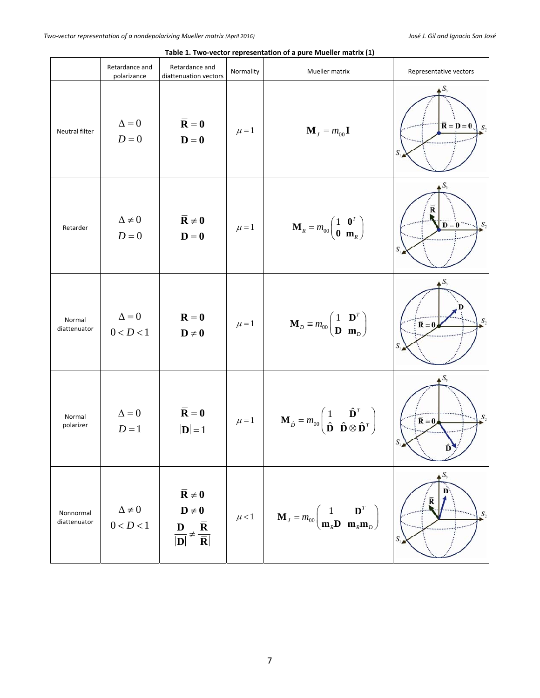|                           | Retardance and                 | Retardance and                                                                                                                                              |           |                                                                                                                                                        |                                                                       |
|---------------------------|--------------------------------|-------------------------------------------------------------------------------------------------------------------------------------------------------------|-----------|--------------------------------------------------------------------------------------------------------------------------------------------------------|-----------------------------------------------------------------------|
|                           | polarizance                    | diattenuation vectors                                                                                                                                       | Normality | Mueller matrix                                                                                                                                         | Representative vectors                                                |
| Neutral filter            | $\Delta = 0$<br>$D=0$          | $\overline{\mathbf{R}} = \mathbf{0}$<br>$\mathbf{D}=\mathbf{0}$                                                                                             | $\mu = 1$ | $\mathbf{M}_{J} = m_{00}\mathbf{I}$                                                                                                                    | $S_3$<br>$\overline{\mathbf{R}} = \mathbf{D} = \mathbf{0}$<br>$S_{2}$ |
| Retarder                  | $\Delta \neq 0$<br>$D=0$       | $\overline{R} \neq 0$<br>$\mathbf{D}=\mathbf{0}$                                                                                                            | $\mu = 1$ | $\mathbf{M}_{R} = m_{00} \begin{pmatrix} 1 & \mathbf{0}^{T} \\ \mathbf{0} & \mathbf{m}_{R} \end{pmatrix}$                                              | $D=0$<br>$S_{2}$<br>S,                                                |
| Normal<br>diattenuator    | $\Delta = 0$<br>0 < D < 1      | $\overline{\mathbf{R}} = \mathbf{0}$<br>$D \neq 0$                                                                                                          | $\mu = 1$ | $\mathbf{M}_D \equiv m_{00} \begin{pmatrix} 1 & \mathbf{D}^T \\ \mathbf{D} & \mathbf{m}_D \end{pmatrix}$                                               | D<br>S,<br>$\overline{\mathbf{R}} = \mathbf{0}$                       |
| Normal<br>polarizer       | $\Delta=0$<br>$D=1$            | $\overline{\mathbf{R}} = \mathbf{0}$<br>$ {\bf{D}} =1$                                                                                                      | $\mu = 1$ | $\mathbf{M}_{\hat{D}} = m_{00} \begin{pmatrix} 1 & \hat{\mathbf{D}}^T \\ \hat{\mathbf{D}} & \hat{\mathbf{D}} \otimes \hat{\mathbf{D}}^T \end{pmatrix}$ | $S_3$<br>$S_{2}$<br>$\overline{\mathbf{R}} = \mathbf{0}$              |
| Nonnormal<br>diattenuator | $\Delta \neq 0$<br>$0 < D < 1$ | $\overline{\mathbf{R}}\neq 0$<br>$\mathbf{D}\neq\mathbf{0}$<br>$\frac{\mathbf{D}}{ \mathbf{D} } \neq \frac{\overline{\mathbf{R}}}{ \overline{\mathbf{R}} }$ | $\mu$ < 1 | $\mathbf{M}_{J} = m_{00} \begin{pmatrix} 1 & \mathbf{D}^{T} \\ \mathbf{m}_{R} \mathbf{D} & \mathbf{m}_{R} \mathbf{m}_{D} \end{pmatrix}$                | $S_3$<br>S <sub>2</sub><br>S,                                         |

# **Table 1. Two‐vector representation of a pure Mueller matrix (1)**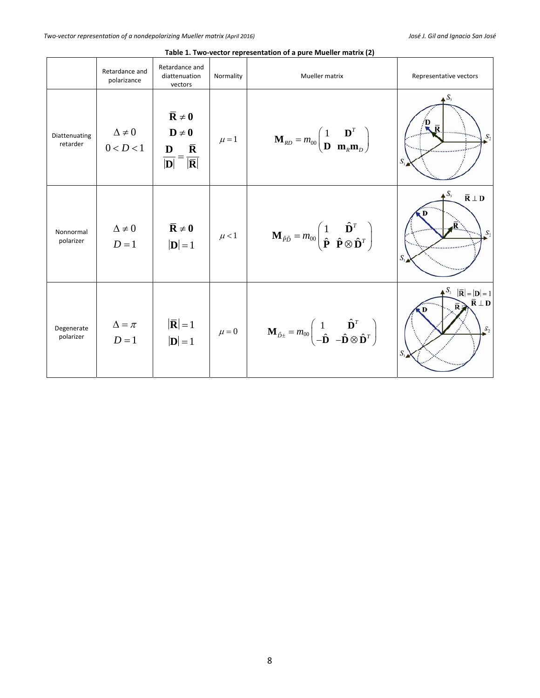|                           | Retardance and<br>polarizance | Retardance and<br>diattenuation<br>vectors                                                                                                | Normality | Mueller matrix                                                                                                                                                               | Representative vectors                                                                                     |
|---------------------------|-------------------------------|-------------------------------------------------------------------------------------------------------------------------------------------|-----------|------------------------------------------------------------------------------------------------------------------------------------------------------------------------------|------------------------------------------------------------------------------------------------------------|
| Diattenuating<br>retarder | $\Delta \neq 0$<br>0 < D < 1  | $\overline{\mathbf{R}} \neq 0$<br>$D \neq 0$<br>$\bar{\mathbf{R}}$<br>D<br>$\overline{ \mathbf{D} } = \overline{ \overline{\mathbf{R}} }$ | $\mu = 1$ | $\mathbf{M}_{RD} = m_{00} \begin{pmatrix} 1 & \mathbf{D}^T \\ \mathbf{D} & \mathbf{m}_R \mathbf{m}_D \end{pmatrix}$                                                          | $\bar{\mathbf{R}}$<br>S,<br>S,                                                                             |
| Nonnormal<br>polarizer    | $\Delta \neq 0$<br>$D=1$      | $\overline{R} \neq 0$<br>$ \mathbf{D} =1$                                                                                                 | $\mu$ < 1 | $\mathbf{M}_{\hat{p}\hat{p}} = m_{00} \begin{pmatrix} 1 & \hat{\mathbf{D}}^T \\ \hat{\mathbf{P}} & \hat{\mathbf{P}} \otimes \hat{\mathbf{D}}^T \end{pmatrix}$                | $\triangle S_3$<br>$\overline{\mathbf{R}} \perp \mathbf{D}$<br>$S_{\tau}$<br>S                             |
| Degenerate<br>polarizer   | $\Delta = \pi$<br>$D=1$       | $ \mathbf{\overline{R}} =1$<br>$ D =1$                                                                                                    | $\mu = 0$ | $\label{eq:mass} \mathbf{M}_{\hat{D}^\pm} = m_{00} \begin{pmatrix} 1 & \hat{\mathbf{D}}^T \\ -\hat{\mathbf{D}} & -\hat{\mathbf{D}} \otimes \hat{\mathbf{D}}^T \end{pmatrix}$ | $S_3$<br>$ \overline{\mathbf{R}}  =  \mathbf{D}  = 1$<br>$\overline{\mathbf{R}} \perp \mathbf{D}$<br>$S_2$ |

**Table 1. Two‐vector representation of a pure Mueller matrix (2)**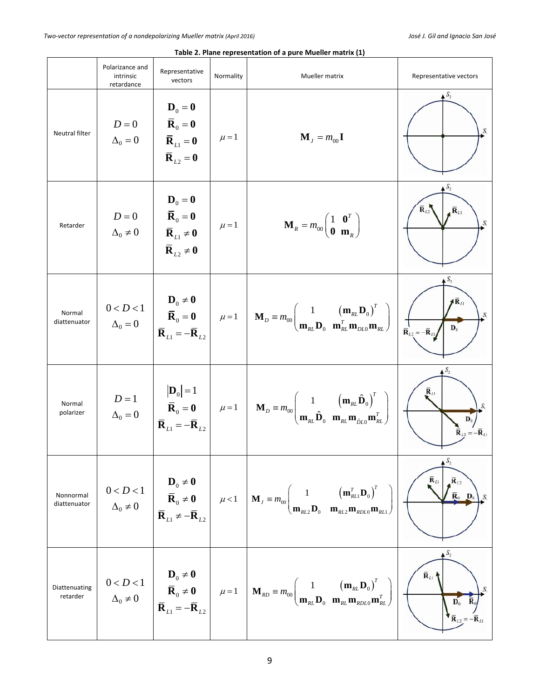|                           | Polarizance and<br>intrinsic<br>retardance | Representative<br>vectors                                                                                                                                               | Normality | Mueller matrix                                                                                                                                                                                                                                                                                                                                                                                                                                                      | Representative vectors                                                                                   |
|---------------------------|--------------------------------------------|-------------------------------------------------------------------------------------------------------------------------------------------------------------------------|-----------|---------------------------------------------------------------------------------------------------------------------------------------------------------------------------------------------------------------------------------------------------------------------------------------------------------------------------------------------------------------------------------------------------------------------------------------------------------------------|----------------------------------------------------------------------------------------------------------|
| Neutral filter            | $D=0$<br>$\Delta_0=0$                      | $\mathbf{D}_0 = \mathbf{0}$<br>$\boxed{\overline{\mathbf{R}}_0 = \mathbf{0}}$<br>$\overline{\mathbf{R}}_{L1} = \mathbf{0}$<br>$\overline{\mathbf{R}}_{L2} = \mathbf{0}$ | $\mu = 1$ | $\mathbf{M}_{I} = m_{00} \mathbf{I}$                                                                                                                                                                                                                                                                                                                                                                                                                                | $S_{1}$                                                                                                  |
| Retarder                  | $\Delta_0 \neq 0$                          | $\mathbf{D}_0 = \mathbf{0}$<br>$D=0$ $\overline{\mathbf{R}}_0=\mathbf{0}$<br>$\overline{\mathbf{R}}_{L1} \neq 0$<br>$\overline{\mathbf{R}}_{L2} \neq 0$                 | $\mu = 1$ | $\mathbf{M}_R = m_{00} \begin{pmatrix} 1 & \mathbf{0}^T \\ \mathbf{0} & \mathbf{m}_R \end{pmatrix}$                                                                                                                                                                                                                                                                                                                                                                 | $S_{2}$<br>$\overline{\mathbf{R}}_{L2}$<br>. $\overline{\mathbf{R}}_{L1}$<br>S.                          |
| Normal<br>diattenuator    |                                            | $\overline{\mathbf{R}}_{L1} = -\overline{\mathbf{R}}_{L2}$                                                                                                              |           | $0 < D < 1$<br>$\Delta_0 = 0$<br>$\Delta_0 = 0$<br>$\overline{\mathbf{R}}_0 = \mathbf{0}$<br>$\mu = 1$<br>$\mathbf{M}_D = m_{00} \left( \frac{1}{\mathbf{m}_{RL} \mathbf{D}_0} \frac{(\mathbf{m}_{RL} \mathbf{D}_0)^T}{\mathbf{m}_{RL}^T \mathbf{m}_{DL0} \mathbf{m}_{RL}} \right)$                                                                                                                                                                                 | $S_2$<br>$AR_{L1}$<br>S,<br>$\mathbf{D}_0$<br>$\overline{\mathbf{R}}_{L2} = -\overline{\mathbf{R}}_{L1}$ |
| Normal<br>polarizer       | $D=1$<br>$\Delta_0 = 0$                    |                                                                                                                                                                         |           | $\begin{bmatrix} \mathbf{D}_0 \end{bmatrix} = 1$<br>$\mathbf{\overline{R}}_0 = \mathbf{0}$ $\mu = 1$ $\mathbf{M}_D = m_{00}$ $\mathbf{m}_{RL} \hat{\mathbf{D}}_0$ $\mathbf{m}_{RL} \mathbf{m}_{\hat{\theta}L0} \mathbf{m}_{RL}^T$                                                                                                                                                                                                                                   | $\bar{\mathbf{R}}_{L1}$<br>$\mathbf{D}_0$<br>$\overline{\mathbf{R}}_{L2} = -\overline{\mathbf{R}}_{L1}$  |
| Nonnormal<br>diattenuator |                                            |                                                                                                                                                                         |           | $0 < D < 1$<br>$\Delta_0 \neq 0$<br>$\overline{\mathbf{R}}_0 \neq \mathbf{0}$<br>$\overline{\mathbf{R}}_L \neq -\overline{\mathbf{R}}_{L2}$<br>$\mu < 1$<br>$M_J \equiv m_{00} \left( \frac{1}{\mathbf{m}_{RL2} \mathbf{D}_0} \frac{(\mathbf{m}_{RL1}^T \mathbf{D}_0)^T}{\mathbf{m}_{RL2} \mathbf{m}_{RDLO} \mathbf{m}_{RL1}} \right)$                                                                                                                              | $\overline{\mathbf{R}}_{L2}$<br>$\mathbf{R}_{L1}$<br>$\overline{\mathbf{R}}_0$ $\mathbf{D}_0$<br>S.      |
| Diattenuating<br>retarder |                                            |                                                                                                                                                                         |           | $\label{eq:2} \begin{array}{c} 0 < D < 1 \\ \Delta_0 \neq 0 \end{array} \left  \begin{array}{c} \pmb{\mathrm{D}}_0 \neq \pmb{0} \\ \pmb{\overline{\mathrm{R}}}_0 \neq \pmb{0} \\ \pmb{\overline{\mathrm{R}}}_{L1} = - \pmb{\overline{\mathrm{R}}}_{L2} \end{array} \right  \quad \mu = 1 \quad \left  \begin{array}{c} \pmb{\mathrm{M}}_{RD} \equiv m_{00} \Bigg( \frac{1}{\textbf{m}_{RL} \textbf{D}_0} \frac{\textbf{(m}_{RL} \textbf{D}_0)^T}{\textbf{m}_{RL} \$ | $\overline{\mathbf{R}}_{L1}$<br>$\mathbf{D}_0$<br>${\bf R}_{L2} = -{\bf R}_{L1}$                         |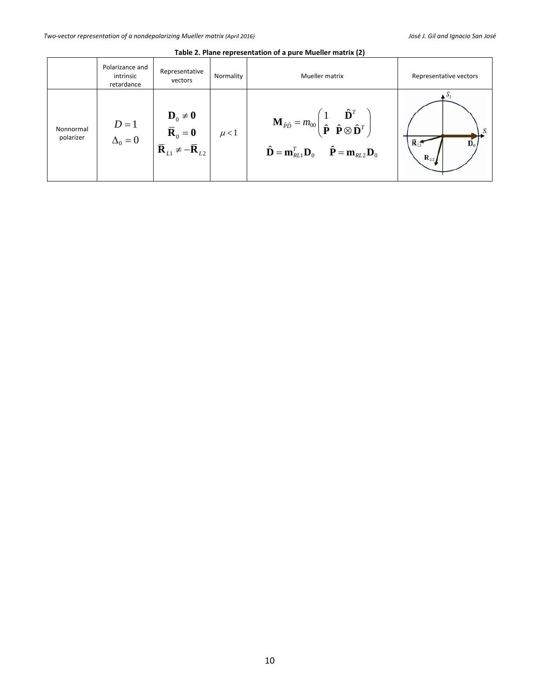|                        | Polarizance and<br>intrinsic<br>retardance | Representative<br>vectors                                                                                                                                           | Normality | Mueller matrix                                                                                                                                                                                                                                                                     | Representative vectors                       |
|------------------------|--------------------------------------------|---------------------------------------------------------------------------------------------------------------------------------------------------------------------|-----------|------------------------------------------------------------------------------------------------------------------------------------------------------------------------------------------------------------------------------------------------------------------------------------|----------------------------------------------|
| Nonnormal<br>polarizer | $D=1$<br>$\Delta_0=0$                      | $\begin{aligned} \mathbf{D}_0 \neq \mathbf{0} \\ \overline{\mathbf{R}}_0 = \mathbf{0} \\ \overline{\mathbf{R}}_{L1} \neq -\overline{\mathbf{R}}_{L2} \end{aligned}$ | $\mu$ < 1 | $\mathbf{M}_{\hat{p}\hat{p}} = m_{00} \begin{pmatrix} 1 & \hat{\mathbf{D}}^T \\ \hat{\mathbf{P}} & \hat{\mathbf{P}} \otimes \hat{\mathbf{D}}^T \end{pmatrix}$<br>$\hat{\mathbf{D}} = \mathbf{m}_{\text{RL1}}^T \mathbf{D}_0$<br>$\hat{\mathbf{P}} = \mathbf{m}_{RL2} \mathbf{D}_0$ | $\mathbf{R}$<br>$\overline{\mathbf{R}}_{L2}$ |

**Table 2. Plane representation of a pure Mueller matrix (2)**